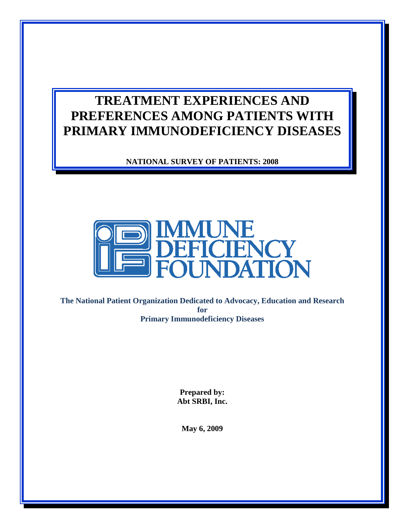# **TREATMENT EXPERIENCES AND PREFERENCES AMONG PATIENTS WITH PRIMARY IMMUNODEFICIENCY DISEASES**

**NATIONAL SURVEY OF PATIENTS: 2008** 



**The National Patient Organization Dedicated to Advocacy, Education and Research for Primary Immunodeficiency Diseases**

> **Prepared by: Abt SRBI, Inc.**

**May 6, 2009**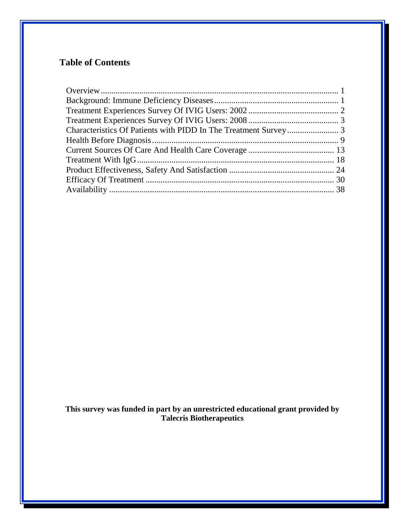# **Table of Contents**

**This survey was funded in part by an unrestricted educational grant provided by Talecris Biotherapeutics**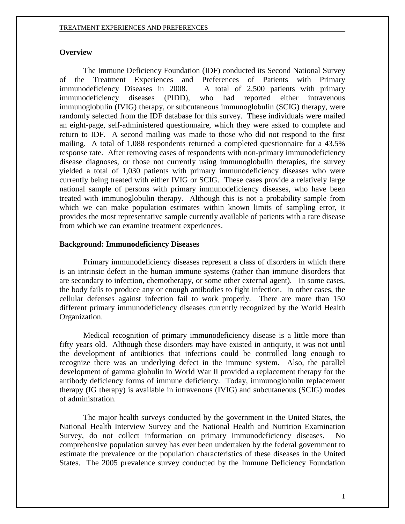# <span id="page-2-0"></span>**Overview**

The Immune Deficiency Foundation (IDF) conducted its Second National Survey of the Treatment Experiences and Preferences of Patients with Primary immunodeficiency Diseases in 2008. A total of 2,500 patients with primary immunodeficiency diseases (PIDD), who had reported either intravenous immunoglobulin (IVIG) therapy, or subcutaneous immunoglobulin (SCIG) therapy, were randomly selected from the IDF database for this survey. These individuals were mailed an eight-page, self-administered questionnaire, which they were asked to complete and return to IDF. A second mailing was made to those who did not respond to the first mailing. A total of 1,088 respondents returned a completed questionnaire for a 43.5% response rate. After removing cases of respondents with non-primary immunodeficiency disease diagnoses, or those not currently using immunoglobulin therapies, the survey yielded a total of 1,030 patients with primary immunodeficiency diseases who were currently being treated with either IVIG or SCIG. These cases provide a relatively large national sample of persons with primary immunodeficiency diseases, who have been treated with immunoglobulin therapy. Although this is not a probability sample from which we can make population estimates within known limits of sampling error, it provides the most representative sample currently available of patients with a rare disease from which we can examine treatment experiences.

### <span id="page-2-1"></span>**Background: Immunodeficiency Diseases**

Primary immunodeficiency diseases represent a class of disorders in which there is an intrinsic defect in the human immune systems (rather than immune disorders that are secondary to infection, chemotherapy, or some other external agent). In some cases, the body fails to produce any or enough antibodies to fight infection. In other cases, the cellular defenses against infection fail to work properly. There are more than 150 different primary immunodeficiency diseases currently recognized by the World Health Organization.

Medical recognition of primary immunodeficiency disease is a little more than fifty years old. Although these disorders may have existed in antiquity, it was not until the development of antibiotics that infections could be controlled long enough to recognize there was an underlying defect in the immune system. Also, the parallel development of gamma globulin in World War II provided a replacement therapy for the antibody deficiency forms of immune deficiency. Today, immunoglobulin replacement therapy (IG therapy) is available in intravenous (IVIG) and subcutaneous (SCIG) modes of administration.

The major health surveys conducted by the government in the United States, the National Health Interview Survey and the National Health and Nutrition Examination Survey, do not collect information on primary immunodeficiency diseases. No comprehensive population survey has ever been undertaken by the federal government to estimate the prevalence or the population characteristics of these diseases in the United States. The 2005 prevalence survey conducted by the Immune Deficiency Foundation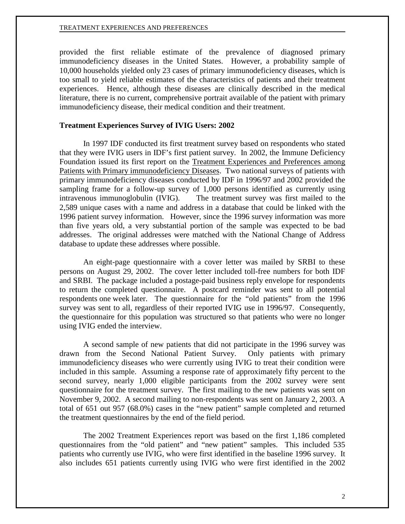provided the first reliable estimate of the prevalence of diagnosed primary immunodeficiency diseases in the United States. However, a probability sample of 10,000 households yielded only 23 cases of primary immunodeficiency diseases, which is too small to yield reliable estimates of the characteristics of patients and their treatment experiences. Hence, although these diseases are clinically described in the medical literature, there is no current, comprehensive portrait available of the patient with primary immunodeficiency disease, their medical condition and their treatment.

## <span id="page-3-0"></span>**Treatment Experiences Survey of IVIG Users: 2002**

In 1997 IDF conducted its first treatment survey based on respondents who stated that they were IVIG users in IDF's first patient survey. In 2002, the Immune Deficiency Foundation issued its first report on the Treatment Experiences and Preferences among Patients with Primary immunodeficiency Diseases. Two national surveys of patients with primary immunodeficiency diseases conducted by IDF in 1996/97 and 2002 provided the sampling frame for a follow-up survey of 1,000 persons identified as currently using intravenous immunoglobulin (IVIG). The treatment survey was first mailed to the 2,589 unique cases with a name and address in a database that could be linked with the 1996 patient survey information. However, since the 1996 survey information was more than five years old, a very substantial portion of the sample was expected to be bad addresses. The original addresses were matched with the National Change of Address database to update these addresses where possible.

An eight-page questionnaire with a cover letter was mailed by SRBI to these persons on August 29, 2002. The cover letter included toll-free numbers for both IDF and SRBI. The package included a postage-paid business reply envelope for respondents to return the completed questionnaire. A postcard reminder was sent to all potential respondents one week later. The questionnaire for the "old patients" from the 1996 survey was sent to all, regardless of their reported IVIG use in 1996/97. Consequently, the questionnaire for this population was structured so that patients who were no longer using IVIG ended the interview.

A second sample of new patients that did not participate in the 1996 survey was drawn from the Second National Patient Survey. Only patients with primary immunodeficiency diseases who were currently using IVIG to treat their condition were included in this sample. Assuming a response rate of approximately fifty percent to the second survey, nearly 1,000 eligible participants from the 2002 survey were sent questionnaire for the treatment survey. The first mailing to the new patients was sent on November 9, 2002. A second mailing to non-respondents was sent on January 2, 2003. A total of 651 out 957 (68.0%) cases in the "new patient" sample completed and returned the treatment questionnaires by the end of the field period.

The 2002 Treatment Experiences report was based on the first 1,186 completed questionnaires from the "old patient" and "new patient" samples. This included 535 patients who currently use IVIG, who were first identified in the baseline 1996 survey. It also includes 651 patients currently using IVIG who were first identified in the 2002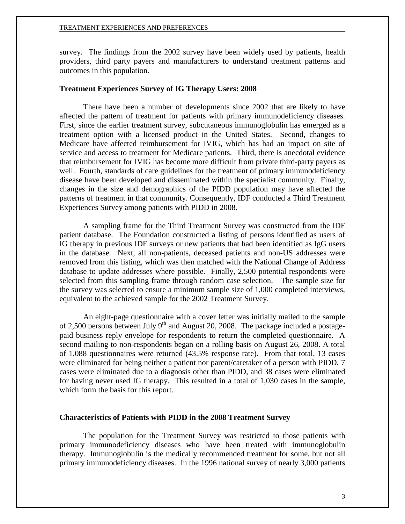survey. The findings from the 2002 survey have been widely used by patients, health providers, third party payers and manufacturers to understand treatment patterns and outcomes in this population.

# <span id="page-4-0"></span>**Treatment Experiences Survey of IG Therapy Users: 2008**

There have been a number of developments since 2002 that are likely to have affected the pattern of treatment for patients with primary immunodeficiency diseases. First, since the earlier treatment survey, subcutaneous immunoglobulin has emerged as a treatment option with a licensed product in the United States. Second, changes to Medicare have affected reimbursement for IVIG, which has had an impact on site of service and access to treatment for Medicare patients. Third, there is anecdotal evidence that reimbursement for IVIG has become more difficult from private third-party payers as well. Fourth, standards of care guidelines for the treatment of primary immunodeficiency disease have been developed and disseminated within the specialist community. Finally, changes in the size and demographics of the PIDD population may have affected the patterns of treatment in that community. Consequently, IDF conducted a Third Treatment Experiences Survey among patients with PIDD in 2008.

A sampling frame for the Third Treatment Survey was constructed from the IDF patient database. The Foundation constructed a listing of persons identified as users of IG therapy in previous IDF surveys or new patients that had been identified as IgG users in the database. Next, all non-patients, deceased patients and non-US addresses were removed from this listing, which was then matched with the National Change of Address database to update addresses where possible. Finally, 2,500 potential respondents were selected from this sampling frame through random case selection. The sample size for the survey was selected to ensure a minimum sample size of 1,000 completed interviews, equivalent to the achieved sample for the 2002 Treatment Survey.

An eight-page questionnaire with a cover letter was initially mailed to the sample of 2,500 persons between July 9<sup>th</sup> and August 20, 2008. The package included a postagepaid business reply envelope for respondents to return the completed questionnaire. A second mailing to non-respondents began on a rolling basis on August 26, 2008. A total of 1,088 questionnaires were returned (43.5% response rate). From that total, 13 cases were eliminated for being neither a patient nor parent/caretaker of a person with PIDD, 7 cases were eliminated due to a diagnosis other than PIDD, and 38 cases were eliminated for having never used IG therapy. This resulted in a total of 1,030 cases in the sample, which form the basis for this report.

## <span id="page-4-1"></span>**Characteristics of Patients with PIDD in the 2008 Treatment Survey**

The population for the Treatment Survey was restricted to those patients with primary immunodeficiency diseases who have been treated with immunoglobulin therapy. Immunoglobulin is the medically recommended treatment for some, but not all primary immunodeficiency diseases. In the 1996 national survey of nearly 3,000 patients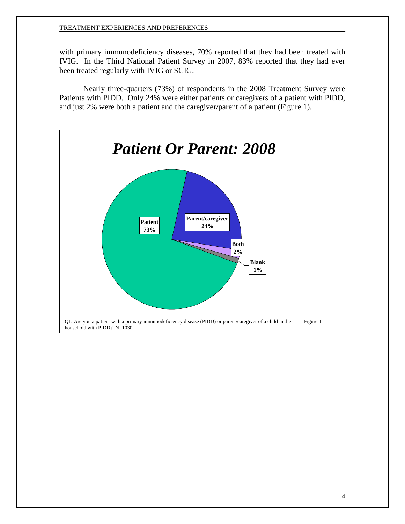with primary immunodeficiency diseases, 70% reported that they had been treated with IVIG. In the Third National Patient Survey in 2007, 83% reported that they had ever been treated regularly with IVIG or SCIG.

Nearly three-quarters (73%) of respondents in the 2008 Treatment Survey were Patients with PIDD. Only 24% were either patients or caregivers of a patient with PIDD, and just 2% were both a patient and the caregiver/parent of a patient (Figure 1).

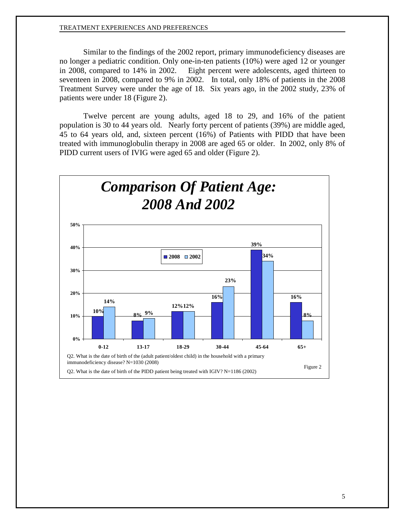Similar to the findings of the 2002 report, primary immunodeficiency diseases are no longer a pediatric condition. Only one-in-ten patients (10%) were aged 12 or younger in 2008, compared to 14% in 2002. Eight percent were adolescents, aged thirteen to seventeen in 2008, compared to 9% in 2002. In total, only 18% of patients in the 2008 Treatment Survey were under the age of 18. Six years ago, in the 2002 study, 23% of patients were under 18 (Figure 2).

Twelve percent are young adults, aged 18 to 29, and 16% of the patient population is 30 to 44 years old. Nearly forty percent of patients (39%) are middle aged, 45 to 64 years old, and, sixteen percent (16%) of Patients with PIDD that have been treated with immunoglobulin therapy in 2008 are aged 65 or older. In 2002, only 8% of PIDD current users of IVIG were aged 65 and older (Figure 2).

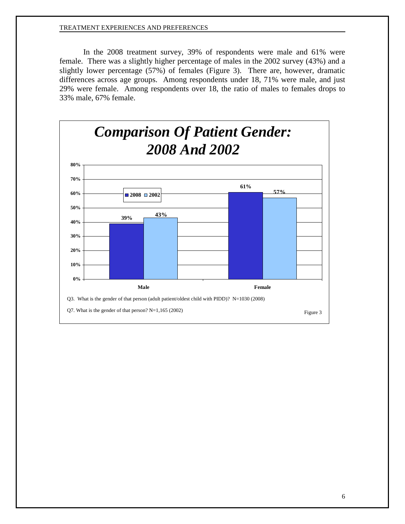In the 2008 treatment survey, 39% of respondents were male and 61% were female. There was a slightly higher percentage of males in the 2002 survey (43%) and a slightly lower percentage (57%) of females (Figure 3). There are, however, dramatic differences across age groups. Among respondents under 18, 71% were male, and just 29% were female. Among respondents over 18, the ratio of males to females drops to 33% male, 67% female.

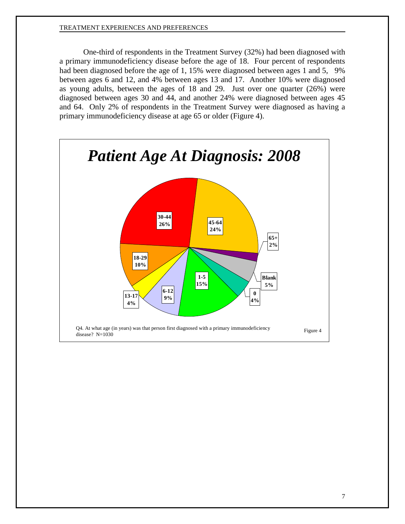One-third of respondents in the Treatment Survey (32%) had been diagnosed with a primary immunodeficiency disease before the age of 18. Four percent of respondents had been diagnosed before the age of 1, 15% were diagnosed between ages 1 and 5, 9% between ages 6 and 12, and 4% between ages 13 and 17. Another 10% were diagnosed as young adults, between the ages of 18 and 29. Just over one quarter (26%) were diagnosed between ages 30 and 44, and another 24% were diagnosed between ages 45 and 64. Only 2% of respondents in the Treatment Survey were diagnosed as having a primary immunodeficiency disease at age 65 or older (Figure 4).

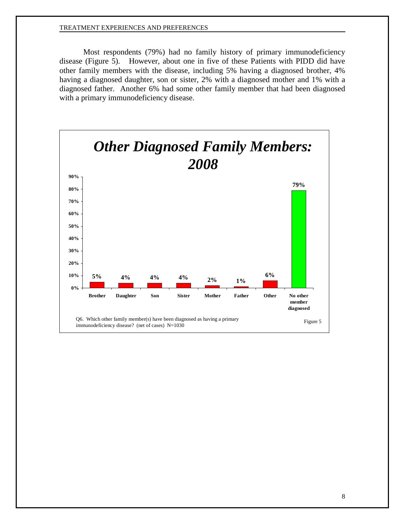Most respondents (79%) had no family history of primary immunodeficiency disease (Figure 5). However, about one in five of these Patients with PIDD did have other family members with the disease, including 5% having a diagnosed brother, 4% having a diagnosed daughter, son or sister, 2% with a diagnosed mother and 1% with a diagnosed father. Another 6% had some other family member that had been diagnosed with a primary immunodeficiency disease.

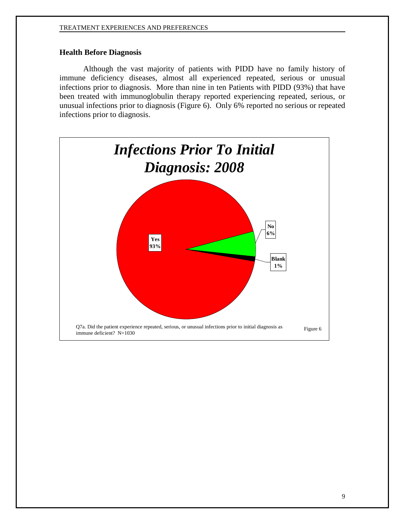# <span id="page-10-0"></span>**Health Before Diagnosis**

Although the vast majority of patients with PIDD have no family history of immune deficiency diseases, almost all experienced repeated, serious or unusual infections prior to diagnosis. More than nine in ten Patients with PIDD (93%) that have been treated with immunoglobulin therapy reported experiencing repeated, serious, or unusual infections prior to diagnosis (Figure 6). Only 6% reported no serious or repeated infections prior to diagnosis.

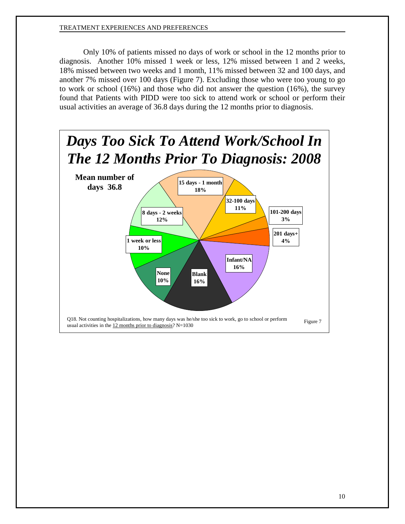Only 10% of patients missed no days of work or school in the 12 months prior to diagnosis. Another 10% missed 1 week or less, 12% missed between 1 and 2 weeks, 18% missed between two weeks and 1 month, 11% missed between 32 and 100 days, and another 7% missed over 100 days (Figure 7). Excluding those who were too young to go to work or school (16%) and those who did not answer the question (16%), the survey found that Patients with PIDD were too sick to attend work or school or perform their usual activities an average of 36.8 days during the 12 months prior to diagnosis.

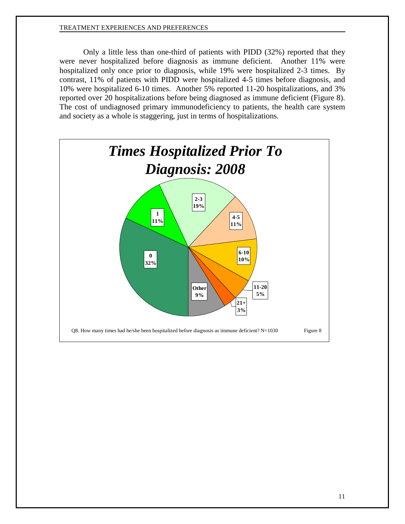Only a little less than one-third of patients with PIDD (32%) reported that they were never hospitalized before diagnosis as immune deficient. Another 11% were hospitalized only once prior to diagnosis, while 19% were hospitalized 2-3 times. By contrast, 11% of patients with PIDD were hospitalized 4-5 times before diagnosis, and 10% were hospitalized 6-10 times. Another 5% reported 11-20 hospitalizations, and 3% reported over 20 hospitalizations before being diagnosed as immune deficient (Figure 8). The cost of undiagnosed primary immunodeficiency to patients, the health care system and society as a whole is staggering, just in terms of hospitalizations.

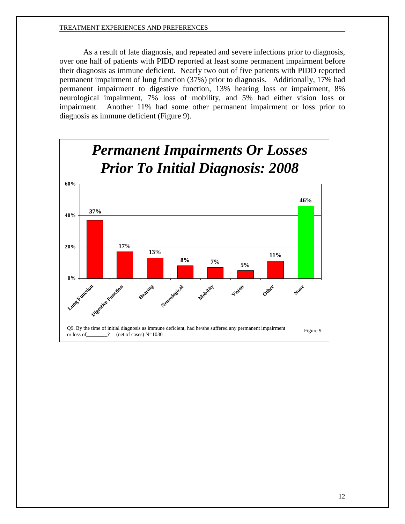As a result of late diagnosis, and repeated and severe infections prior to diagnosis, over one half of patients with PIDD reported at least some permanent impairment before their diagnosis as immune deficient. Nearly two out of five patients with PIDD reported permanent impairment of lung function (37%) prior to diagnosis. Additionally, 17% had permanent impairment to digestive function, 13% hearing loss or impairment, 8% neurological impairment, 7% loss of mobility, and 5% had either vision loss or impairment. Another 11% had some other permanent impairment or loss prior to diagnosis as immune deficient (Figure 9).

<span id="page-13-0"></span>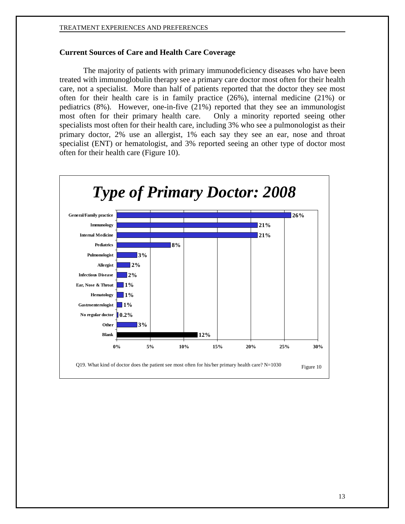# **Current Sources of Care and Health Care Coverage**

The majority of patients with primary immunodeficiency diseases who have been treated with immunoglobulin therapy see a primary care doctor most often for their health care, not a specialist. More than half of patients reported that the doctor they see most often for their health care is in family practice (26%), internal medicine (21%) or pediatrics (8%). However, one-in-five (21%) reported that they see an immunologist most often for their primary health care. Only a minority reported seeing other specialists most often for their health care, including 3% who see a pulmonologist as their primary doctor, 2% use an allergist, 1% each say they see an ear, nose and throat specialist (ENT) or hematologist, and 3% reported seeing an other type of doctor most often for their health care (Figure 10).

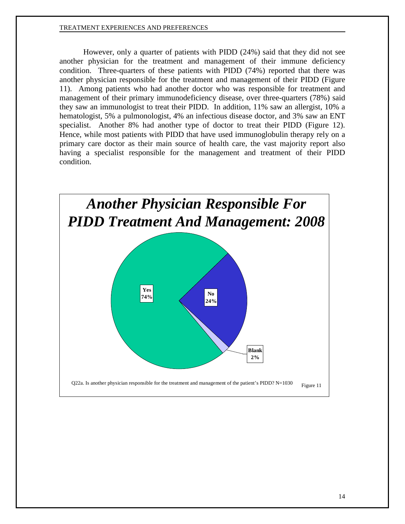However, only a quarter of patients with PIDD (24%) said that they did not see another physician for the treatment and management of their immune deficiency condition. Three-quarters of these patients with PIDD (74%) reported that there was another physician responsible for the treatment and management of their PIDD (Figure 11). Among patients who had another doctor who was responsible for treatment and management of their primary immunodeficiency disease, over three-quarters (78%) said they saw an immunologist to treat their PIDD. In addition, 11% saw an allergist, 10% a hematologist, 5% a pulmonologist, 4% an infectious disease doctor, and 3% saw an ENT specialist. Another 8% had another type of doctor to treat their PIDD (Figure 12). Hence, while most patients with PIDD that have used immunoglobulin therapy rely on a primary care doctor as their main source of health care, the vast majority report also having a specialist responsible for the management and treatment of their PIDD condition.

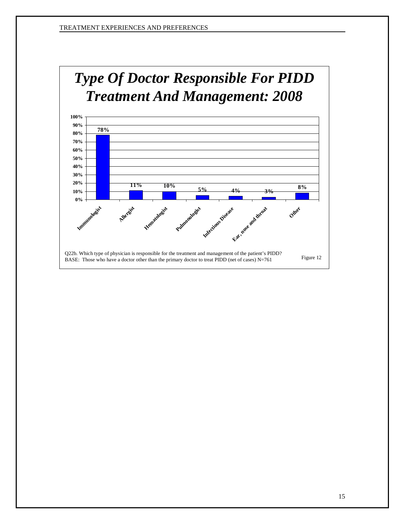

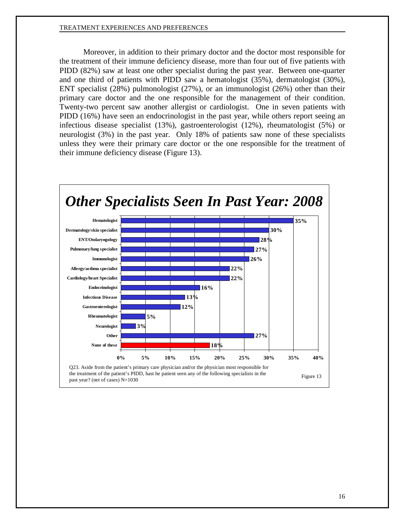Moreover, in addition to their primary doctor and the doctor most responsible for the treatment of their immune deficiency disease, more than four out of five patients with PIDD (82%) saw at least one other specialist during the past year. Between one-quarter and one third of patients with PIDD saw a hematologist (35%), dermatologist (30%), ENT specialist (28%) pulmonologist (27%), or an immunologist (26%) other than their primary care doctor and the one responsible for the management of their condition. Twenty-two percent saw another allergist or cardiologist. One in seven patients with PIDD (16%) have seen an endocrinologist in the past year, while others report seeing an infectious disease specialist (13%), gastroenterologist (12%), rheumatologist (5%) or neurologist (3%) in the past year. Only 18% of patients saw none of these specialists unless they were their primary care doctor or the one responsible for the treatment of their immune deficiency disease (Figure 13).

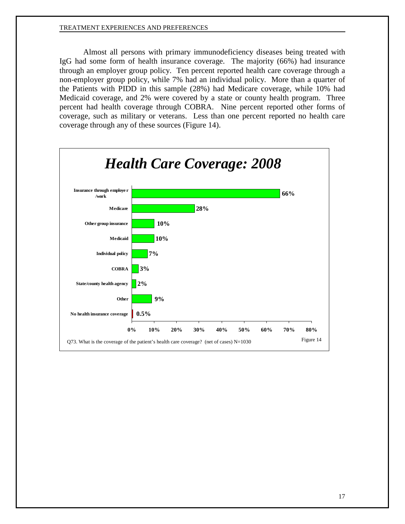Almost all persons with primary immunodeficiency diseases being treated with IgG had some form of health insurance coverage. The majority (66%) had insurance through an employer group policy. Ten percent reported health care coverage through a non-employer group policy, while 7% had an individual policy. More than a quarter of the Patients with PIDD in this sample (28%) had Medicare coverage, while 10% had Medicaid coverage, and 2% were covered by a state or county health program. Three percent had health coverage through COBRA. Nine percent reported other forms of coverage, such as military or veterans. Less than one percent reported no health care coverage through any of these sources (Figure 14).

<span id="page-18-0"></span>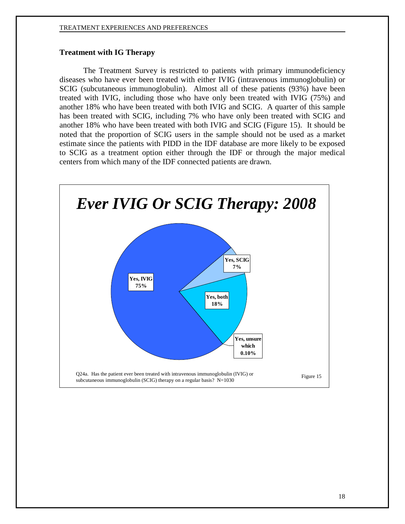# **Treatment with IG Therapy**

The Treatment Survey is restricted to patients with primary immunodeficiency diseases who have ever been treated with either IVIG (intravenous immunoglobulin) or SCIG (subcutaneous immunoglobulin). Almost all of these patients (93%) have been treated with IVIG, including those who have only been treated with IVIG (75%) and another 18% who have been treated with both IVIG and SCIG. A quarter of this sample has been treated with SCIG, including 7% who have only been treated with SCIG and another 18% who have been treated with both IVIG and SCIG (Figure 15). It should be noted that the proportion of SCIG users in the sample should not be used as a market estimate since the patients with PIDD in the IDF database are more likely to be exposed to SCIG as a treatment option either through the IDF or through the major medical centers from which many of the IDF connected patients are drawn.

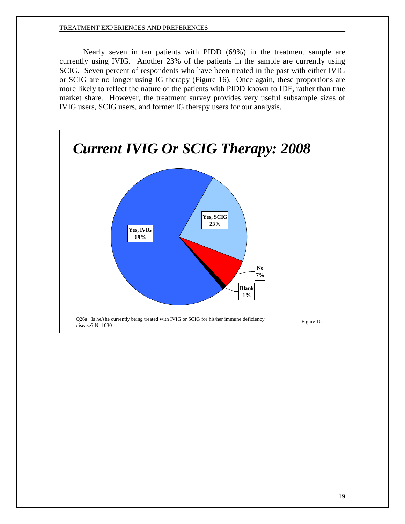Nearly seven in ten patients with PIDD (69%) in the treatment sample are currently using IVIG. Another 23% of the patients in the sample are currently using SCIG. Seven percent of respondents who have been treated in the past with either IVIG or SCIG are no longer using IG therapy (Figure 16). Once again, these proportions are more likely to reflect the nature of the patients with PIDD known to IDF, rather than true market share. However, the treatment survey provides very useful subsample sizes of IVIG users, SCIG users, and former IG therapy users for our analysis.

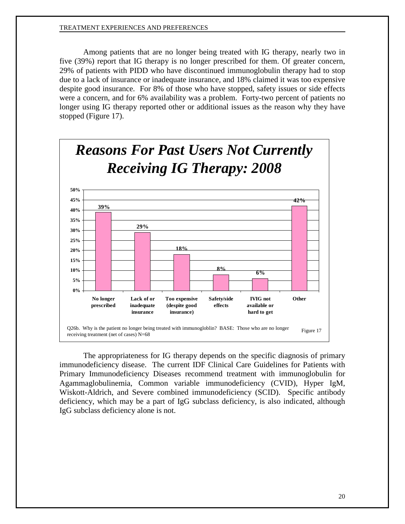Among patients that are no longer being treated with IG therapy, nearly two in five (39%) report that IG therapy is no longer prescribed for them. Of greater concern, 29% of patients with PIDD who have discontinued immunoglobulin therapy had to stop due to a lack of insurance or inadequate insurance, and 18% claimed it was too expensive despite good insurance. For 8% of those who have stopped, safety issues or side effects were a concern, and for 6% availability was a problem. Forty-two percent of patients no longer using IG therapy reported other or additional issues as the reason why they have stopped (Figure 17).



The appropriateness for IG therapy depends on the specific diagnosis of primary immunodeficiency disease. The current IDF Clinical Care Guidelines for Patients with Primary Immunodeficiency Diseases recommend treatment with immunoglobulin for Agammaglobulinemia, Common variable immunodeficiency (CVID), Hyper IgM, Wiskott-Aldrich, and Severe combined immunodeficiency (SCID). Specific antibody deficiency, which may be a part of IgG subclass deficiency, is also indicated, although IgG subclass deficiency alone is not.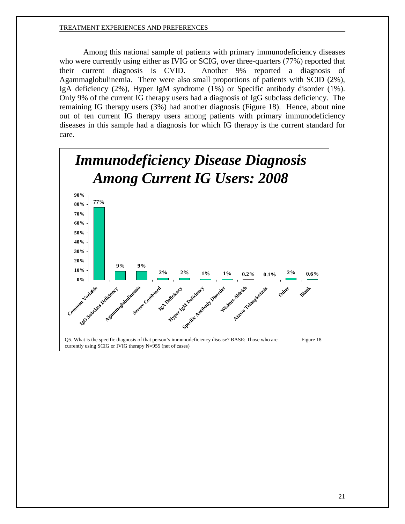Among this national sample of patients with primary immunodeficiency diseases who were currently using either as IVIG or SCIG, over three-quarters (77%) reported that their current diagnosis is CVID. Another 9% reported a diagnosis of Agammaglobulinemia. There were also small proportions of patients with SCID (2%), IgA deficiency (2%), Hyper IgM syndrome (1%) or Specific antibody disorder (1%). Only 9% of the current IG therapy users had a diagnosis of IgG subclass deficiency. The remaining IG therapy users (3%) had another diagnosis (Figure 18). Hence, about nine out of ten current IG therapy users among patients with primary immunodeficiency diseases in this sample had a diagnosis for which IG therapy is the current standard for care.

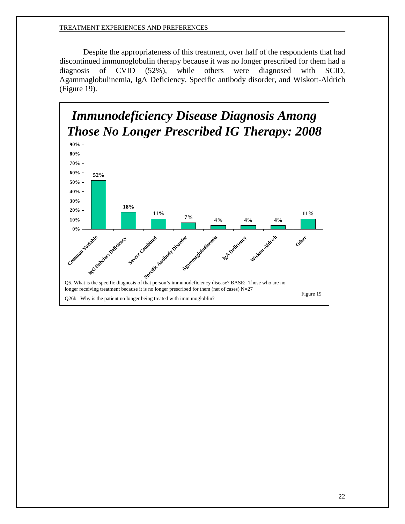Despite the appropriateness of this treatment, over half of the respondents that had discontinued immunoglobulin therapy because it was no longer prescribed for them had a diagnosis of CVID (52%), while others were diagnosed with SCID, Agammaglobulinemia, IgA Deficiency, Specific antibody disorder, and Wiskott-Aldrich (Figure 19).

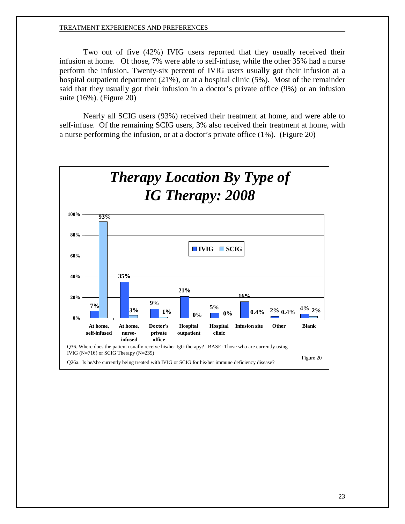Two out of five (42%) IVIG users reported that they usually received their infusion at home. Of those, 7% were able to self-infuse, while the other 35% had a nurse perform the infusion. Twenty-six percent of IVIG users usually got their infusion at a hospital outpatient department (21%), or at a hospital clinic (5%). Most of the remainder said that they usually got their infusion in a doctor's private office (9%) or an infusion suite (16%). (Figure 20)

Nearly all SCIG users (93%) received their treatment at home, and were able to self-infuse. Of the remaining SCIG users, 3% also received their treatment at home, with a nurse performing the infusion, or at a doctor's private office (1%). (Figure 20)

<span id="page-24-0"></span>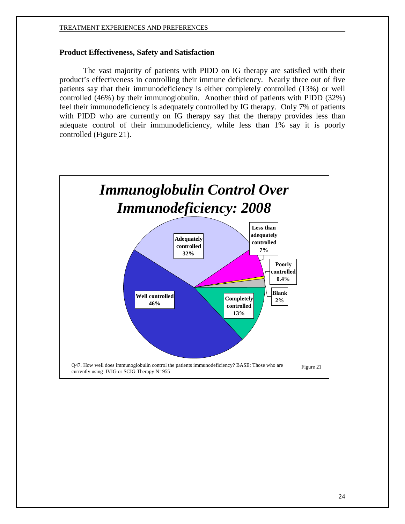### **Product Effectiveness, Safety and Satisfaction**

The vast majority of patients with PIDD on IG therapy are satisfied with their product's effectiveness in controlling their immune deficiency. Nearly three out of five patients say that their immunodeficiency is either completely controlled (13%) or well controlled (46%) by their immunoglobulin. Another third of patients with PIDD (32%) feel their immunodeficiency is adequately controlled by IG therapy. Only 7% of patients with PIDD who are currently on IG therapy say that the therapy provides less than adequate control of their immunodeficiency, while less than 1% say it is poorly controlled (Figure 21).

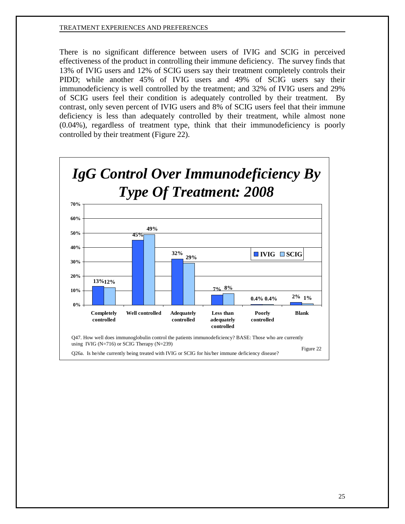There is no significant difference between users of IVIG and SCIG in perceived effectiveness of the product in controlling their immune deficiency. The survey finds that 13% of IVIG users and 12% of SCIG users say their treatment completely controls their PIDD; while another 45% of IVIG users and 49% of SCIG users say their immunodeficiency is well controlled by the treatment; and 32% of IVIG users and 29% of SCIG users feel their condition is adequately controlled by their treatment. By contrast, only seven percent of IVIG users and 8% of SCIG users feel that their immune deficiency is less than adequately controlled by their treatment, while almost none (0.04%), regardless of treatment type, think that their immunodeficiency is poorly controlled by their treatment (Figure 22).

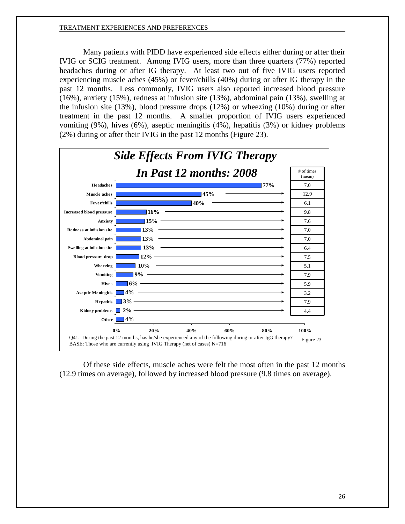Many patients with PIDD have experienced side effects either during or after their IVIG or SCIG treatment. Among IVIG users, more than three quarters (77%) reported headaches during or after IG therapy. At least two out of five IVIG users reported experiencing muscle aches (45%) or fever/chills (40%) during or after IG therapy in the past 12 months. Less commonly, IVIG users also reported increased blood pressure (16%), anxiety (15%), redness at infusion site (13%), abdominal pain (13%), swelling at the infusion site (13%), blood pressure drops (12%) or wheezing (10%) during or after treatment in the past 12 months. A smaller proportion of IVIG users experienced vomiting (9%), hives (6%), aseptic meningitis (4%), hepatitis (3%) or kidney problems (2%) during or after their IVIG in the past 12 months (Figure 23).



Of these side effects, muscle aches were felt the most often in the past 12 months (12.9 times on average), followed by increased blood pressure (9.8 times on average).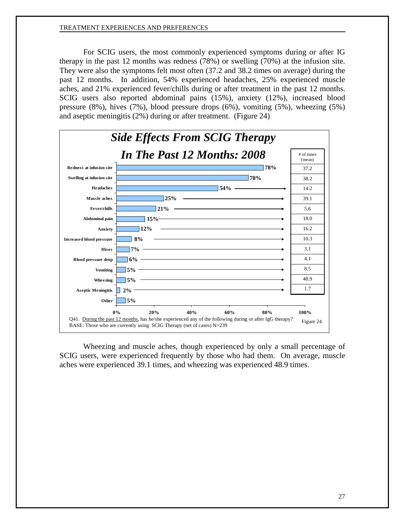For SCIG users, the most commonly experienced symptoms during or after IG therapy in the past 12 months was redness (78%) or swelling (70%) at the infusion site. They were also the symptoms felt most often (37.2 and 38.2 times on average) during the past 12 months. In addition, 54% experienced headaches, 25% experienced muscle aches, and 21% experienced fever/chills during or after treatment in the past 12 months. SCIG users also reported abdominal pains (15%), anxiety (12%), increased blood pressure (8%), hives (7%), blood pressure drops (6%), vomiting (5%), wheezing (5%) and aseptic meningitis (2%) during or after treatment. (Figure 24)



Wheezing and muscle aches, though experienced by only a small percentage of SCIG users, were experienced frequently by those who had them. On average, muscle aches were experienced 39.1 times, and wheezing was experienced 48.9 times.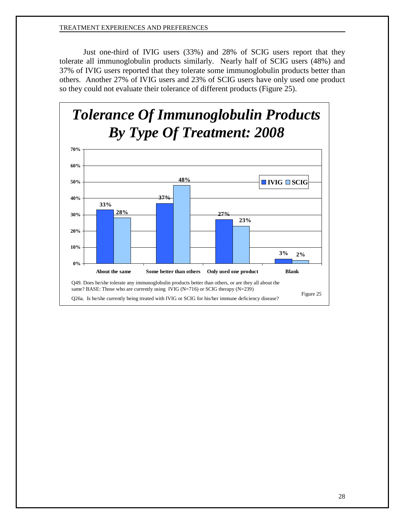Just one-third of IVIG users (33%) and 28% of SCIG users report that they tolerate all immunoglobulin products similarly. Nearly half of SCIG users (48%) and 37% of IVIG users reported that they tolerate some immunoglobulin products better than others. Another 27% of IVIG users and 23% of SCIG users have only used one product so they could not evaluate their tolerance of different products (Figure 25).

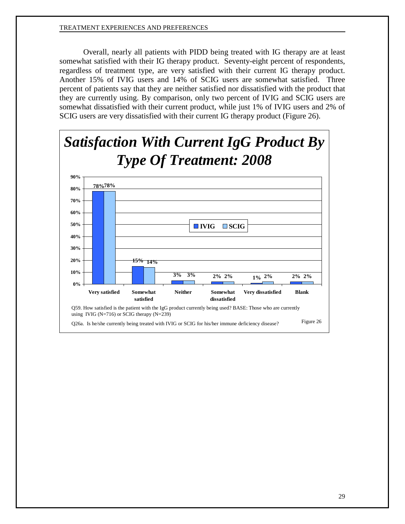Overall, nearly all patients with PIDD being treated with IG therapy are at least somewhat satisfied with their IG therapy product. Seventy-eight percent of respondents, regardless of treatment type, are very satisfied with their current IG therapy product. Another 15% of IVIG users and 14% of SCIG users are somewhat satisfied. Three percent of patients say that they are neither satisfied nor dissatisfied with the product that they are currently using. By comparison, only two percent of IVIG and SCIG users are somewhat dissatisfied with their current product, while just 1% of IVIG users and 2% of SCIG users are very dissatisfied with their current IG therapy product (Figure 26).

<span id="page-30-0"></span>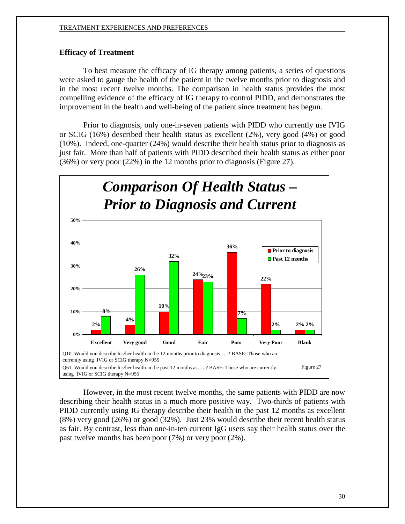# **Efficacy of Treatment**

To best measure the efficacy of IG therapy among patients, a series of questions were asked to gauge the health of the patient in the twelve months prior to diagnosis and in the most recent twelve months. The comparison in health status provides the most compelling evidence of the efficacy of IG therapy to control PIDD, and demonstrates the improvement in the health and well-being of the patient since treatment has begun.

Prior to diagnosis, only one-in-seven patients with PIDD who currently use IVIG or SCIG (16%) described their health status as excellent (2%), very good (4%) or good (10%). Indeed, one-quarter (24%) would describe their health status prior to diagnosis as just fair. More than half of patients with PIDD described their health status as either poor (36%) or very poor (22%) in the 12 months prior to diagnosis (Figure 27).



However, in the most recent twelve months, the same patients with PIDD are now describing their health status in a much more positive way. Two-thirds of patients with PIDD currently using IG therapy describe their health in the past 12 months as excellent (8%) very good (26%) or good (32%). Just 23% would describe their recent health status as fair. By contrast, less than one-in-ten current IgG users say their health status over the past twelve months has been poor (7%) or very poor (2%).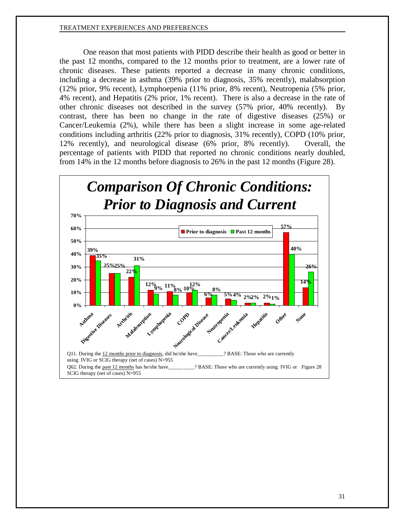One reason that most patients with PIDD describe their health as good or better in the past 12 months, compared to the 12 months prior to treatment, are a lower rate of chronic diseases. These patients reported a decrease in many chronic conditions, including a decrease in asthma (39% prior to diagnosis, 35% recently), malabsorption (12% prior, 9% recent), Lymphoepenia (11% prior, 8% recent), Neutropenia (5% prior, 4% recent), and Hepatitis (2% prior, 1% recent). There is also a decrease in the rate of other chronic diseases not described in the survey (57% prior, 40% recently). By contrast, there has been no change in the rate of digestive diseases (25%) or Cancer/Leukemia (2%), while there has been a slight increase in some age-related conditions including arthritis (22% prior to diagnosis, 31% recently), COPD (10% prior, 12% recently), and neurological disease (6% prior, 8% recently). Overall, the percentage of patients with PIDD that reported no chronic conditions nearly doubled, from 14% in the 12 months before diagnosis to 26% in the past 12 months (Figure 28).

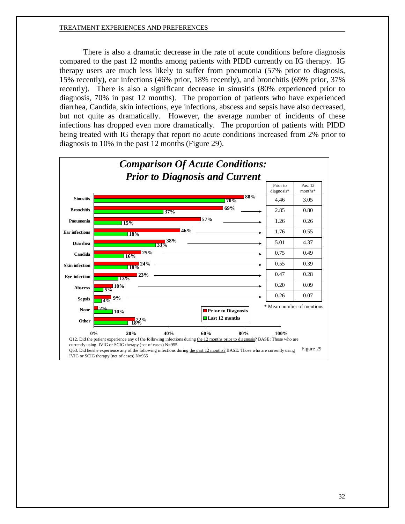There is also a dramatic decrease in the rate of acute conditions before diagnosis compared to the past 12 months among patients with PIDD currently on IG therapy. IG therapy users are much less likely to suffer from pneumonia (57% prior to diagnosis, 15% recently), ear infections (46% prior, 18% recently), and bronchitis (69% prior, 37% recently). There is also a significant decrease in sinusitis (80% experienced prior to diagnosis, 70% in past 12 months). The proportion of patients who have experienced diarrhea, Candida, skin infections, eye infections, abscess and sepsis have also decreased, but not quite as dramatically. However, the average number of incidents of these infections has dropped even more dramatically. The proportion of patients with PIDD being treated with IG therapy that report no acute conditions increased from 2% prior to diagnosis to 10% in the past 12 months (Figure 29).

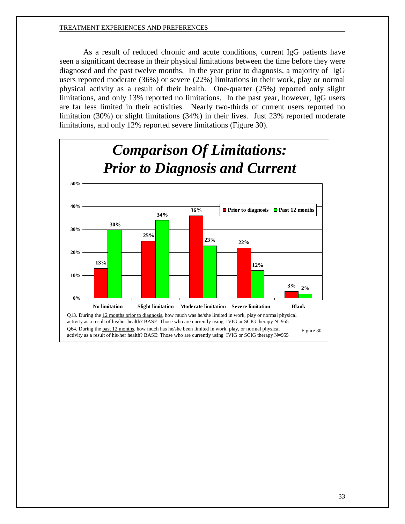As a result of reduced chronic and acute conditions, current IgG patients have seen a significant decrease in their physical limitations between the time before they were diagnosed and the past twelve months. In the year prior to diagnosis, a majority of IgG users reported moderate (36%) or severe (22%) limitations in their work, play or normal physical activity as a result of their health. One-quarter (25%) reported only slight limitations, and only 13% reported no limitations. In the past year, however, IgG users are far less limited in their activities. Nearly two-thirds of current users reported no limitation (30%) or slight limitations (34%) in their lives. Just 23% reported moderate limitations, and only 12% reported severe limitations (Figure 30).

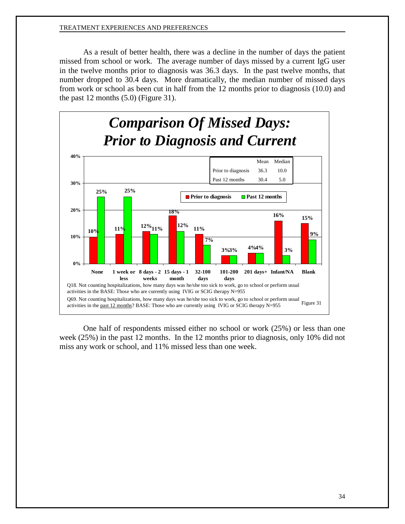As a result of better health, there was a decline in the number of days the patient missed from school or work. The average number of days missed by a current IgG user in the twelve months prior to diagnosis was 36.3 days. In the past twelve months, that number dropped to 30.4 days. More dramatically, the median number of missed days from work or school as been cut in half from the 12 months prior to diagnosis (10.0) and the past 12 months (5.0) (Figure 31).



One half of respondents missed either no school or work (25%) or less than one week (25%) in the past 12 months. In the 12 months prior to diagnosis, only 10% did not miss any work or school, and 11% missed less than one week.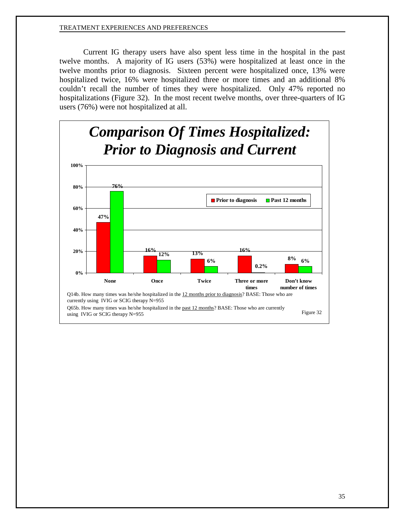Current IG therapy users have also spent less time in the hospital in the past twelve months. A majority of IG users (53%) were hospitalized at least once in the twelve months prior to diagnosis. Sixteen percent were hospitalized once, 13% were hospitalized twice, 16% were hospitalized three or more times and an additional 8% couldn't recall the number of times they were hospitalized. Only 47% reported no hospitalizations (Figure 32). In the most recent twelve months, over three-quarters of IG users (76%) were not hospitalized at all.

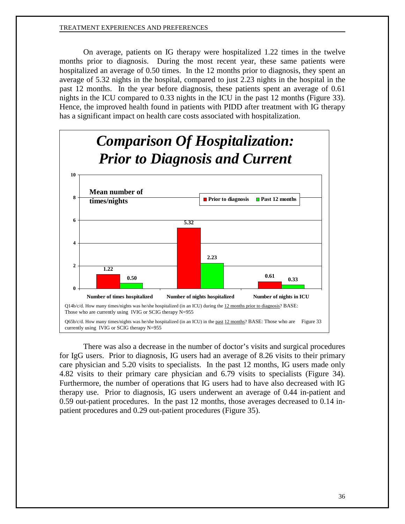On average, patients on IG therapy were hospitalized 1.22 times in the twelve months prior to diagnosis. During the most recent year, these same patients were hospitalized an average of 0.50 times. In the 12 months prior to diagnosis, they spent an average of 5.32 nights in the hospital, compared to just 2.23 nights in the hospital in the past 12 months. In the year before diagnosis, these patients spent an average of 0.61 nights in the ICU compared to 0.33 nights in the ICU in the past 12 months (Figure 33). Hence, the improved health found in patients with PIDD after treatment with IG therapy has a significant impact on health care costs associated with hospitalization.



There was also a decrease in the number of doctor's visits and surgical procedures for IgG users. Prior to diagnosis, IG users had an average of 8.26 visits to their primary care physician and 5.20 visits to specialists. In the past 12 months, IG users made only 4.82 visits to their primary care physician and 6.79 visits to specialists (Figure 34). Furthermore, the number of operations that IG users had to have also decreased with IG therapy use. Prior to diagnosis, IG users underwent an average of 0.44 in-patient and 0.59 out-patient procedures. In the past 12 months, those averages decreased to 0.14 inpatient procedures and 0.29 out-patient procedures (Figure 35).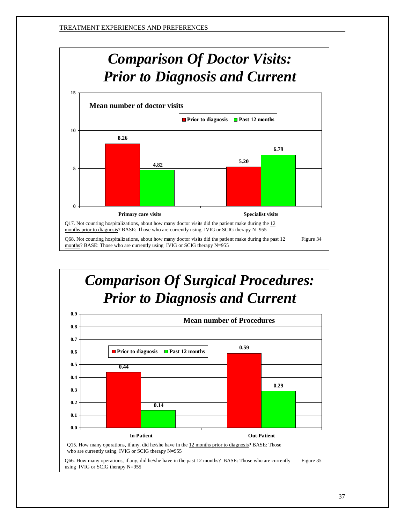

# *Comparison Of Surgical Procedures: Prior to Diagnosis and Current* **0.59 0.6 0.7 0.8 0.9 Prior to diagnosis Past 12 months Mean number of Procedures**

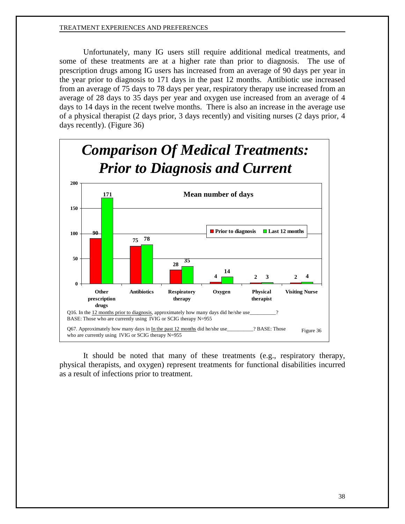Unfortunately, many IG users still require additional medical treatments, and some of these treatments are at a higher rate than prior to diagnosis. The use of prescription drugs among IG users has increased from an average of 90 days per year in the year prior to diagnosis to 171 days in the past 12 months. Antibiotic use increased from an average of 75 days to 78 days per year, respiratory therapy use increased from an average of 28 days to 35 days per year and oxygen use increased from an average of 4 days to 14 days in the recent twelve months. There is also an increase in the average use of a physical therapist (2 days prior, 3 days recently) and visiting nurses (2 days prior, 4 days recently). (Figure 36)



<span id="page-39-0"></span>It should be noted that many of these treatments (e.g., respiratory therapy, physical therapists, and oxygen) represent treatments for functional disabilities incurred as a result of infections prior to treatment.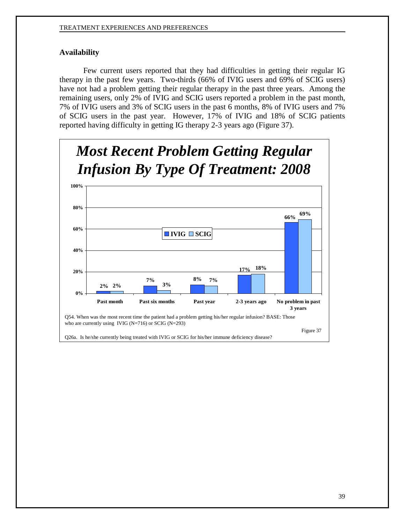# **Availability**

Few current users reported that they had difficulties in getting their regular IG therapy in the past few years. Two-thirds (66% of IVIG users and 69% of SCIG users) have not had a problem getting their regular therapy in the past three years. Among the remaining users, only 2% of IVIG and SCIG users reported a problem in the past month, 7% of IVIG users and 3% of SCIG users in the past 6 months, 8% of IVIG users and 7% of SCIG users in the past year. However, 17% of IVIG and 18% of SCIG patients reported having difficulty in getting IG therapy 2-3 years ago (Figure 37).

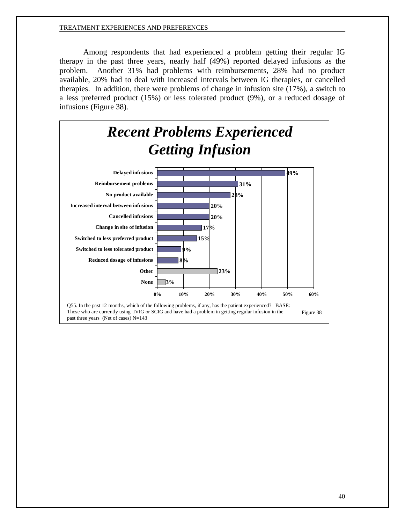Among respondents that had experienced a problem getting their regular IG therapy in the past three years, nearly half (49%) reported delayed infusions as the problem. Another 31% had problems with reimbursements, 28% had no product available, 20% had to deal with increased intervals between IG therapies, or cancelled therapies. In addition, there were problems of change in infusion site (17%), a switch to a less preferred product (15%) or less tolerated product (9%), or a reduced dosage of infusions (Figure 38).

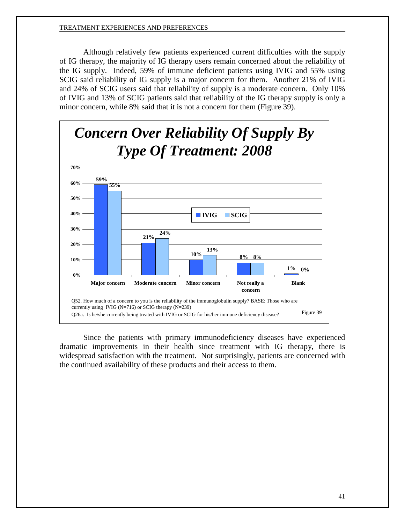Although relatively few patients experienced current difficulties with the supply of IG therapy, the majority of IG therapy users remain concerned about the reliability of the IG supply. Indeed, 59% of immune deficient patients using IVIG and 55% using SCIG said reliability of IG supply is a major concern for them. Another 21% of IVIG and 24% of SCIG users said that reliability of supply is a moderate concern. Only 10% of IVIG and 13% of SCIG patients said that reliability of the IG therapy supply is only a minor concern, while 8% said that it is not a concern for them (Figure 39).



Since the patients with primary immunodeficiency diseases have experienced dramatic improvements in their health since treatment with IG therapy, there is widespread satisfaction with the treatment. Not surprisingly, patients are concerned with the continued availability of these products and their access to them.